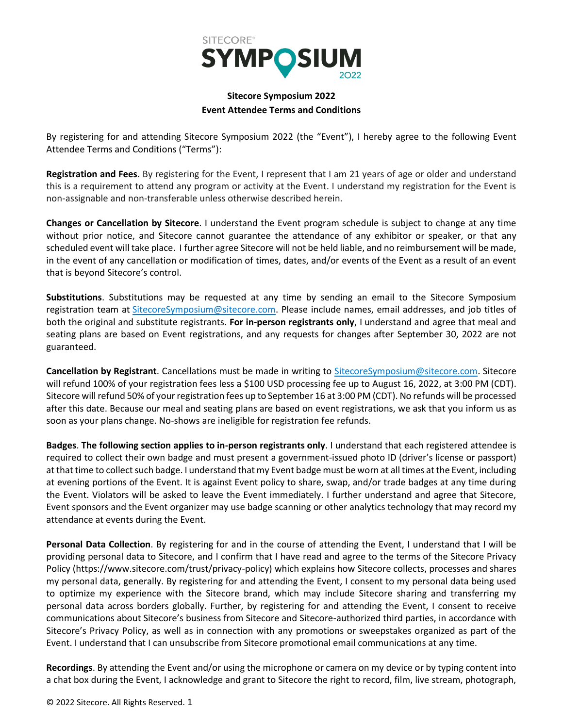

## **Sitecore Symposium 2022 Event Attendee Terms and Conditions**

By registering for and attending Sitecore Symposium 2022 (the "Event"), I hereby agree to the following Event Attendee Terms and Conditions ("Terms"):

**Registration and Fees**. By registering for the Event, I represent that I am 21 years of age or older and understand this is a requirement to attend any program or activity at the Event. I understand my registration for the Event is non-assignable and non-transferable unless otherwise described herein.

**Changes or Cancellation by Sitecore**. I understand the Event program schedule is subject to change at any time without prior notice, and Sitecore cannot guarantee the attendance of any exhibitor or speaker, or that any scheduled event will take place. I further agree Sitecore will not be held liable, and no reimbursement will be made, in the event of any cancellation or modification of times, dates, and/or events of the Event as a result of an event that is beyond Sitecore's control.

**Substitutions**. Substitutions may be requested at any time by sending an email to the Sitecore Symposium registration team at [SitecoreSymposium@sitecore.com.](mailto:SitecoreSymposium@sitecore.com) Please include names, email addresses, and job titles of both the original and substitute registrants. **For in-person registrants only**, I understand and agree that meal and seating plans are based on Event registrations, and any requests for changes after September 30, 2022 are not guaranteed.

**Cancellation by Registrant**. Cancellations must be made in writing to [SitecoreSymposium@sitecore.com.](mailto:SitecoreSymposium@sitecore.com) Sitecore will refund 100% of your registration fees less a \$100 USD processing fee up to August 16, 2022, at 3:00 PM (CDT). Sitecore will refund 50% of your registration fees up to September 16 at 3:00 PM (CDT). No refunds will be processed after this date. Because our meal and seating plans are based on event registrations, we ask that you inform us as soon as your plans change. No-shows are ineligible for registration fee refunds.

**Badges**. **The following section applies to in-person registrants only**. I understand that each registered attendee is required to collect their own badge and must present a government-issued photo ID (driver's license or passport) at that time to collect such badge. I understand that my Event badge must be worn at all times at the Event, including at evening portions of the Event. It is against Event policy to share, swap, and/or trade badges at any time during the Event. Violators will be asked to leave the Event immediately. I further understand and agree that Sitecore, Event sponsors and the Event organizer may use badge scanning or other analytics technology that may record my attendance at events during the Event.

**Personal Data Collection**. By registering for and in the course of attending the Event, I understand that I will be providing personal data to Sitecore, and I confirm that I have read and agree to the terms of the Sitecore Privacy Policy (https://www.sitecore.com/trust/privacy-policy) which explains how Sitecore collects, processes and shares my personal data, generally. By registering for and attending the Event, I consent to my personal data being used to optimize my experience with the Sitecore brand, which may include Sitecore sharing and transferring my personal data across borders globally. Further, by registering for and attending the Event, I consent to receive communications about Sitecore's business from Sitecore and Sitecore-authorized third parties, in accordance with Sitecore's Privacy Policy, as well as in connection with any promotions or sweepstakes organized as part of the Event. I understand that I can unsubscribe from Sitecore promotional email communications at any time.

**Recordings**. By attending the Event and/or using the microphone or camera on my device or by typing content into a chat box during the Event, I acknowledge and grant to Sitecore the right to record, film, live stream, photograph,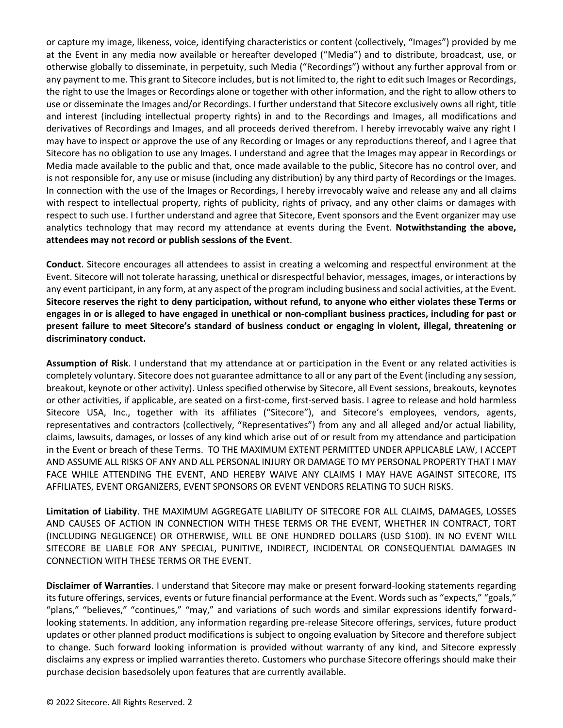or capture my image, likeness, voice, identifying characteristics or content (collectively, "Images") provided by me at the Event in any media now available or hereafter developed ("Media") and to distribute, broadcast, use, or otherwise globally to disseminate, in perpetuity, such Media ("Recordings") without any further approval from or any payment to me. This grant to Sitecore includes, but is not limited to, the right to edit such Images or Recordings, the right to use the Images or Recordings alone or together with other information, and the right to allow others to use or disseminate the Images and/or Recordings. I further understand that Sitecore exclusively owns all right, title and interest (including intellectual property rights) in and to the Recordings and Images, all modifications and derivatives of Recordings and Images, and all proceeds derived therefrom. I hereby irrevocably waive any right I may have to inspect or approve the use of any Recording or Images or any reproductions thereof, and I agree that Sitecore has no obligation to use any Images. I understand and agree that the Images may appear in Recordings or Media made available to the public and that, once made available to the public, Sitecore has no control over, and is not responsible for, any use or misuse (including any distribution) by any third party of Recordings or the Images. In connection with the use of the Images or Recordings, I hereby irrevocably waive and release any and all claims with respect to intellectual property, rights of publicity, rights of privacy, and any other claims or damages with respect to such use. I further understand and agree that Sitecore, Event sponsors and the Event organizer may use analytics technology that may record my attendance at events during the Event. **Notwithstanding the above, attendees may not record or publish sessions of the Event**.

**Conduct**. Sitecore encourages all attendees to assist in creating a welcoming and respectful environment at the Event. Sitecore will not tolerate harassing, unethical or disrespectful behavior, messages, images, or interactions by any event participant, in any form, at any aspect of the program including business and social activities, at the Event. **Sitecore reserves the right to deny participation, without refund, to anyone who either violates these Terms or engages in or is alleged to have engaged in unethical or non-compliant business practices, including for past or present failure to meet Sitecore's standard of business conduct or engaging in violent, illegal, threatening or discriminatory conduct.**

**Assumption of Risk**. I understand that my attendance at or participation in the Event or any related activities is completely voluntary. Sitecore does not guarantee admittance to all or any part of the Event (including any session, breakout, keynote or other activity). Unless specified otherwise by Sitecore, all Event sessions, breakouts, keynotes or other activities, if applicable, are seated on a first-come, first-served basis. I agree to release and hold harmless Sitecore USA, Inc., together with its affiliates ("Sitecore"), and Sitecore's employees, vendors, agents, representatives and contractors (collectively, "Representatives") from any and all alleged and/or actual liability, claims, lawsuits, damages, or losses of any kind which arise out of or result from my attendance and participation in the Event or breach of these Terms. TO THE MAXIMUM EXTENT PERMITTED UNDER APPLICABLE LAW, I ACCEPT AND ASSUME ALL RISKS OF ANY AND ALL PERSONAL INJURY OR DAMAGE TO MY PERSONAL PROPERTY THAT I MAY FACE WHILE ATTENDING THE EVENT, AND HEREBY WAIVE ANY CLAIMS I MAY HAVE AGAINST SITECORE, ITS AFFILIATES, EVENT ORGANIZERS, EVENT SPONSORS OR EVENT VENDORS RELATING TO SUCH RISKS.

**Limitation of Liability**. THE MAXIMUM AGGREGATE LIABILITY OF SITECORE FOR ALL CLAIMS, DAMAGES, LOSSES AND CAUSES OF ACTION IN CONNECTION WITH THESE TERMS OR THE EVENT, WHETHER IN CONTRACT, TORT (INCLUDING NEGLIGENCE) OR OTHERWISE, WILL BE ONE HUNDRED DOLLARS (USD \$100). IN NO EVENT WILL SITECORE BE LIABLE FOR ANY SPECIAL, PUNITIVE, INDIRECT, INCIDENTAL OR CONSEQUENTIAL DAMAGES IN CONNECTION WITH THESE TERMS OR THE EVENT.

**Disclaimer of Warranties**. I understand that Sitecore may make or present forward-looking statements regarding its future offerings, services, events or future financial performance at the Event. Words such as "expects," "goals," "plans," "believes," "continues," "may," and variations of such words and similar expressions identify forwardlooking statements. In addition, any information regarding pre-release Sitecore offerings, services, future product updates or other planned product modifications is subject to ongoing evaluation by Sitecore and therefore subject to change. Such forward looking information is provided without warranty of any kind, and Sitecore expressly disclaims any express or implied warranties thereto. Customers who purchase Sitecore offerings should make their purchase decision basedsolely upon features that are currently available.